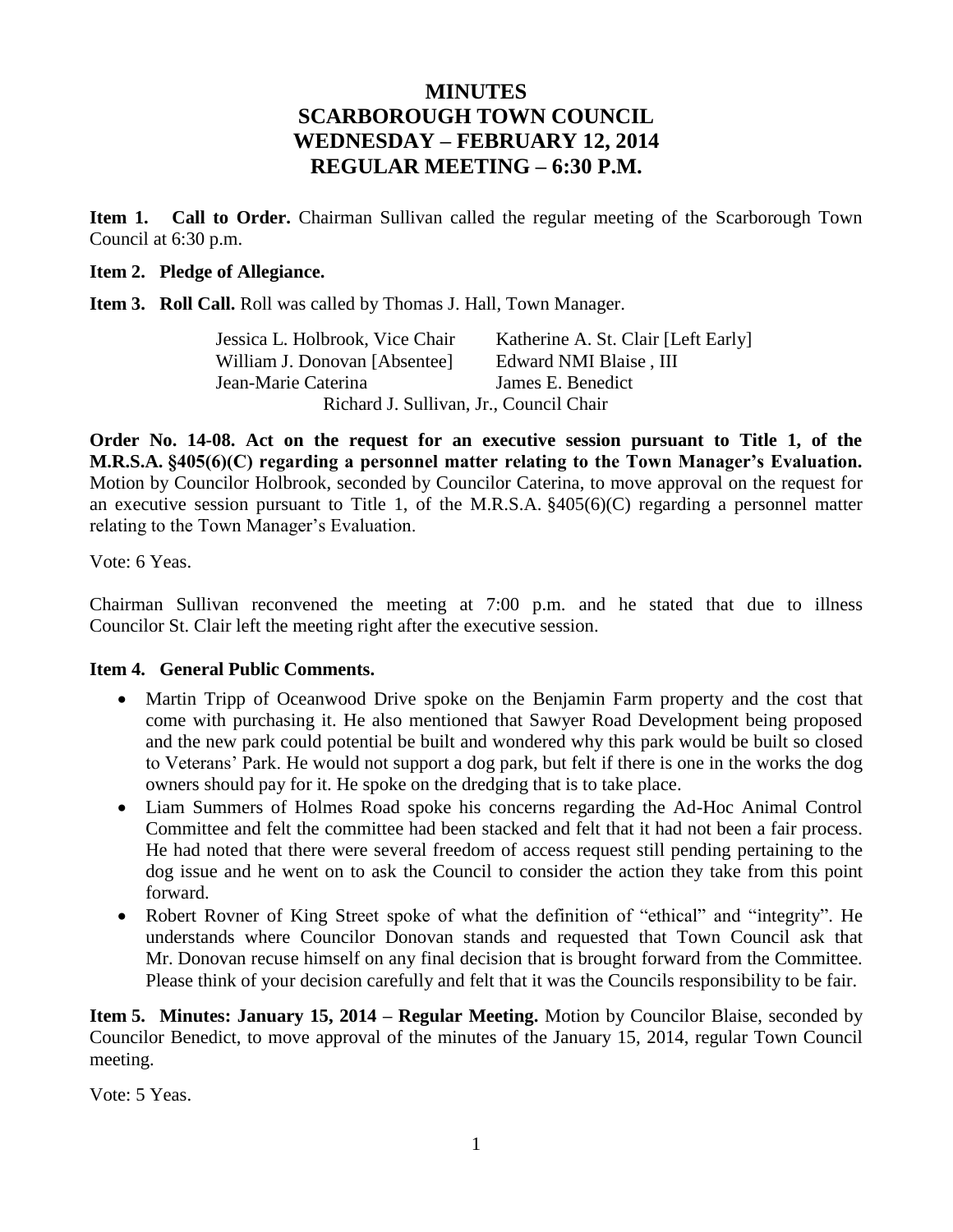# **MINUTES SCARBOROUGH TOWN COUNCIL WEDNESDAY – FEBRUARY 12, 2014 REGULAR MEETING – 6:30 P.M.**

**Item 1. Call to Order.** Chairman Sullivan called the regular meeting of the Scarborough Town Council at 6:30 p.m.

### **Item 2. Pledge of Allegiance.**

**Item 3. Roll Call.** Roll was called by Thomas J. Hall, Town Manager.

| Jessica L. Holbrook, Vice Chair         | Katherine A. St. Clair [Left Early] |
|-----------------------------------------|-------------------------------------|
| William J. Donovan [Absentee]           | Edward NMI Blaise, III              |
| Jean-Marie Caterina                     | James E. Benedict                   |
| Richard J. Sullivan, Jr., Council Chair |                                     |

**Order No. 14-08. Act on the request for an executive session pursuant to Title 1, of the M.R.S.A. §405(6)(C) regarding a personnel matter relating to the Town Manager's Evaluation.** Motion by Councilor Holbrook, seconded by Councilor Caterina, to move approval on the request for an executive session pursuant to Title 1, of the M.R.S.A. §405(6)(C) regarding a personnel matter relating to the Town Manager's Evaluation.

Vote: 6 Yeas.

Chairman Sullivan reconvened the meeting at 7:00 p.m. and he stated that due to illness Councilor St. Clair left the meeting right after the executive session.

### **Item 4. General Public Comments.**

- Martin Tripp of Oceanwood Drive spoke on the Benjamin Farm property and the cost that come with purchasing it. He also mentioned that Sawyer Road Development being proposed and the new park could potential be built and wondered why this park would be built so closed to Veterans' Park. He would not support a dog park, but felt if there is one in the works the dog owners should pay for it. He spoke on the dredging that is to take place.
- Liam Summers of Holmes Road spoke his concerns regarding the Ad-Hoc Animal Control Committee and felt the committee had been stacked and felt that it had not been a fair process. He had noted that there were several freedom of access request still pending pertaining to the dog issue and he went on to ask the Council to consider the action they take from this point forward.
- Robert Rovner of King Street spoke of what the definition of "ethical" and "integrity". He understands where Councilor Donovan stands and requested that Town Council ask that Mr. Donovan recuse himself on any final decision that is brought forward from the Committee. Please think of your decision carefully and felt that it was the Councils responsibility to be fair.

**Item 5. Minutes: January 15, 2014 – Regular Meeting.** Motion by Councilor Blaise, seconded by Councilor Benedict, to move approval of the minutes of the January 15, 2014, regular Town Council meeting.

Vote: 5 Yeas.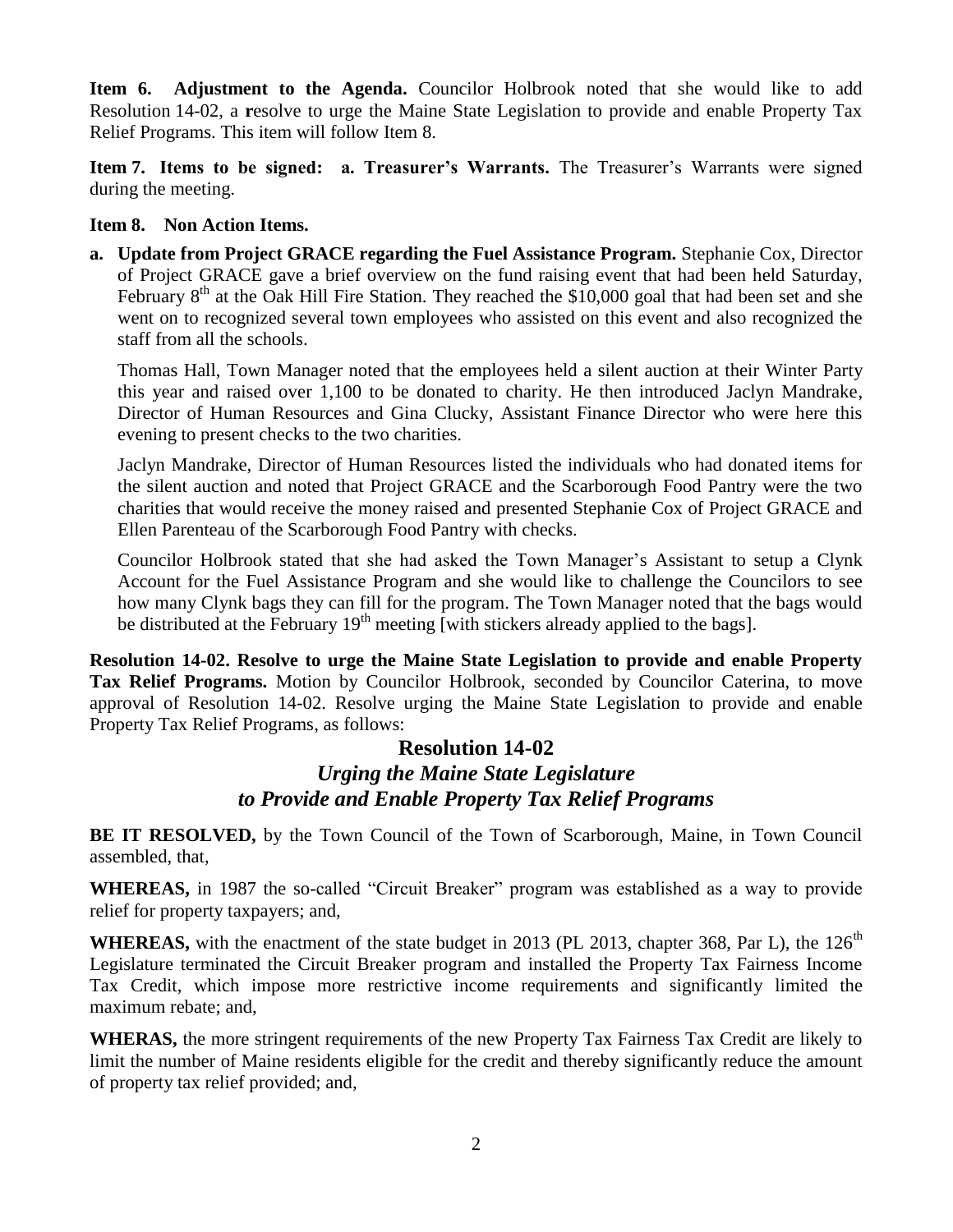**Item 6. Adjustment to the Agenda.** Councilor Holbrook noted that she would like to add Resolution 14-02, a **r**esolve to urge the Maine State Legislation to provide and enable Property Tax Relief Programs. This item will follow Item 8.

**Item 7. Items to be signed: a. Treasurer's Warrants.** The Treasurer's Warrants were signed during the meeting.

## **Item 8. Non Action Items.**

**a. Update from Project GRACE regarding the Fuel Assistance Program.** Stephanie Cox, Director of Project GRACE gave a brief overview on the fund raising event that had been held Saturday, February  $8<sup>th</sup>$  at the Oak Hill Fire Station. They reached the \$10,000 goal that had been set and she went on to recognized several town employees who assisted on this event and also recognized the staff from all the schools.

Thomas Hall, Town Manager noted that the employees held a silent auction at their Winter Party this year and raised over 1,100 to be donated to charity. He then introduced Jaclyn Mandrake, Director of Human Resources and Gina Clucky, Assistant Finance Director who were here this evening to present checks to the two charities.

Jaclyn Mandrake, Director of Human Resources listed the individuals who had donated items for the silent auction and noted that Project GRACE and the Scarborough Food Pantry were the two charities that would receive the money raised and presented Stephanie Cox of Project GRACE and Ellen Parenteau of the Scarborough Food Pantry with checks.

Councilor Holbrook stated that she had asked the Town Manager's Assistant to setup a Clynk Account for the Fuel Assistance Program and she would like to challenge the Councilors to see how many Clynk bags they can fill for the program. The Town Manager noted that the bags would be distributed at the February  $19<sup>th</sup>$  meeting [with stickers already applied to the bags].

**Resolution 14-02. Resolve to urge the Maine State Legislation to provide and enable Property Tax Relief Programs.** Motion by Councilor Holbrook, seconded by Councilor Caterina, to move approval of Resolution 14-02. Resolve urging the Maine State Legislation to provide and enable Property Tax Relief Programs, as follows:

# **Resolution 14-02** *Urging the Maine State Legislature to Provide and Enable Property Tax Relief Programs*

**BE IT RESOLVED,** by the Town Council of the Town of Scarborough, Maine, in Town Council assembled, that,

**WHEREAS,** in 1987 the so-called "Circuit Breaker" program was established as a way to provide relief for property taxpayers; and,

**WHEREAS,** with the enactment of the state budget in 2013 (PL 2013, chapter 368, Par L), the  $126<sup>th</sup>$ Legislature terminated the Circuit Breaker program and installed the Property Tax Fairness Income Tax Credit, which impose more restrictive income requirements and significantly limited the maximum rebate; and,

**WHERAS,** the more stringent requirements of the new Property Tax Fairness Tax Credit are likely to limit the number of Maine residents eligible for the credit and thereby significantly reduce the amount of property tax relief provided; and,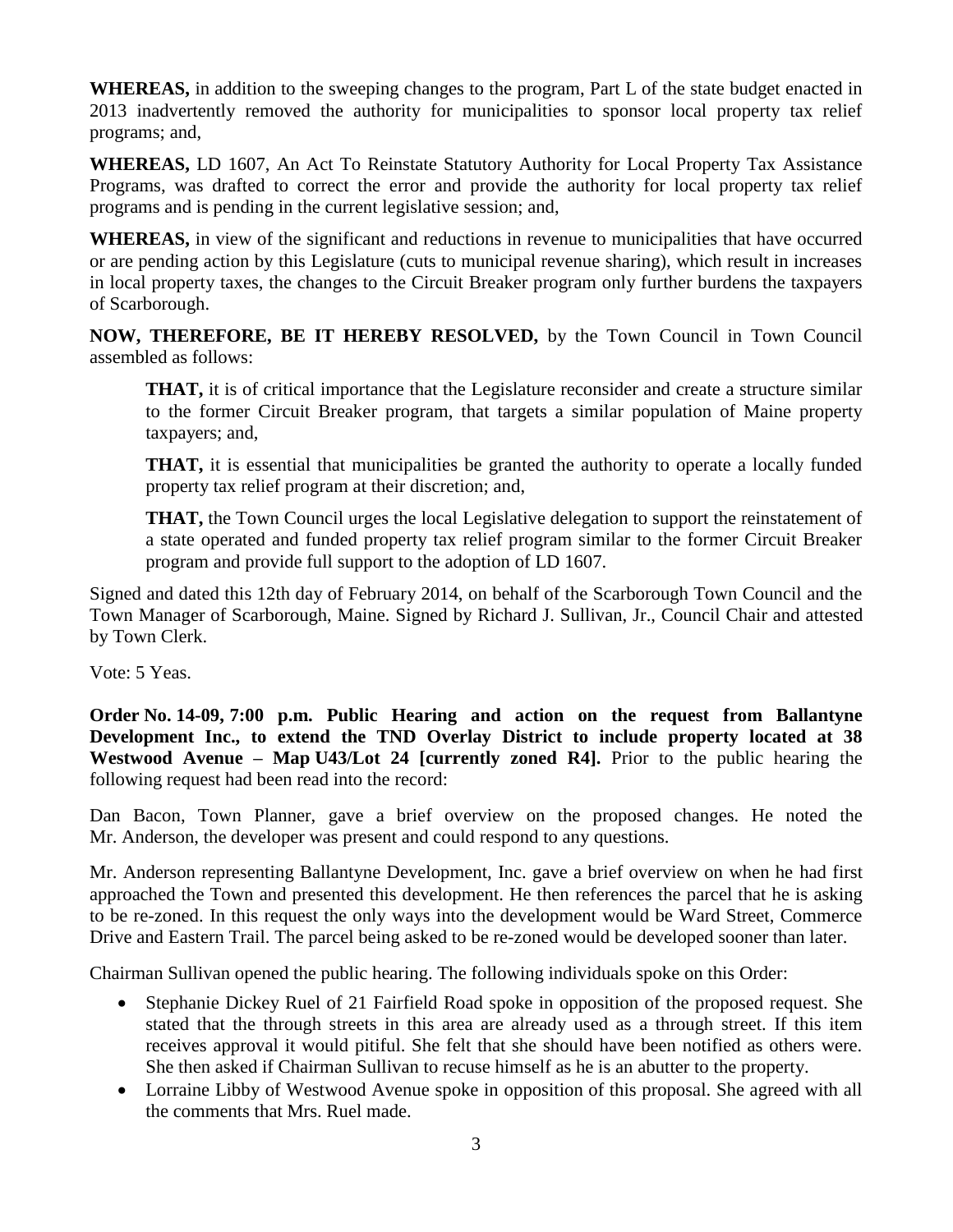**WHEREAS,** in addition to the sweeping changes to the program, Part L of the state budget enacted in 2013 inadvertently removed the authority for municipalities to sponsor local property tax relief programs; and,

**WHEREAS,** LD 1607, An Act To Reinstate Statutory Authority for Local Property Tax Assistance Programs, was drafted to correct the error and provide the authority for local property tax relief programs and is pending in the current legislative session; and,

**WHEREAS,** in view of the significant and reductions in revenue to municipalities that have occurred or are pending action by this Legislature (cuts to municipal revenue sharing), which result in increases in local property taxes, the changes to the Circuit Breaker program only further burdens the taxpayers of Scarborough.

**NOW, THEREFORE, BE IT HEREBY RESOLVED,** by the Town Council in Town Council assembled as follows:

**THAT,** it is of critical importance that the Legislature reconsider and create a structure similar to the former Circuit Breaker program, that targets a similar population of Maine property taxpayers; and,

**THAT,** it is essential that municipalities be granted the authority to operate a locally funded property tax relief program at their discretion; and,

**THAT,** the Town Council urges the local Legislative delegation to support the reinstatement of a state operated and funded property tax relief program similar to the former Circuit Breaker program and provide full support to the adoption of LD 1607.

Signed and dated this 12th day of February 2014, on behalf of the Scarborough Town Council and the Town Manager of Scarborough, Maine. Signed by Richard J. Sullivan, Jr., Council Chair and attested by Town Clerk.

Vote: 5 Yeas.

**Order No. 14-09, 7:00 p.m. Public Hearing and action on the request from Ballantyne Development Inc., to extend the TND Overlay District to include property located at 38 Westwood Avenue – Map U43/Lot 24 [currently zoned R4].** Prior to the public hearing the following request had been read into the record:

Dan Bacon, Town Planner, gave a brief overview on the proposed changes. He noted the Mr. Anderson, the developer was present and could respond to any questions.

Mr. Anderson representing Ballantyne Development, Inc. gave a brief overview on when he had first approached the Town and presented this development. He then references the parcel that he is asking to be re-zoned. In this request the only ways into the development would be Ward Street, Commerce Drive and Eastern Trail. The parcel being asked to be re-zoned would be developed sooner than later.

Chairman Sullivan opened the public hearing. The following individuals spoke on this Order:

- Stephanie Dickey Ruel of 21 Fairfield Road spoke in opposition of the proposed request. She stated that the through streets in this area are already used as a through street. If this item receives approval it would pitiful. She felt that she should have been notified as others were. She then asked if Chairman Sullivan to recuse himself as he is an abutter to the property.
- Lorraine Libby of Westwood Avenue spoke in opposition of this proposal. She agreed with all the comments that Mrs. Ruel made.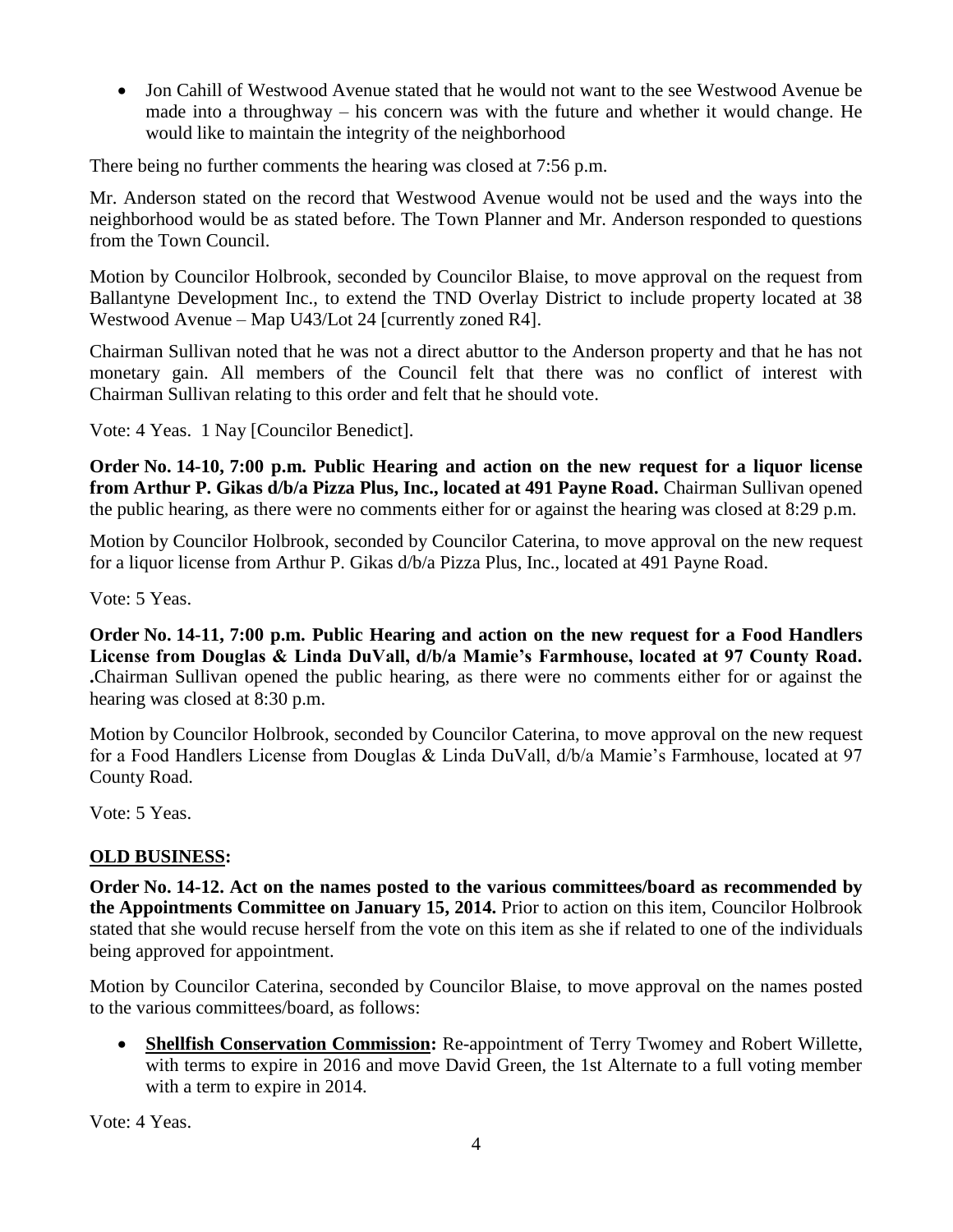• Jon Cahill of Westwood Avenue stated that he would not want to the see Westwood Avenue be made into a throughway – his concern was with the future and whether it would change. He would like to maintain the integrity of the neighborhood

There being no further comments the hearing was closed at 7:56 p.m.

Mr. Anderson stated on the record that Westwood Avenue would not be used and the ways into the neighborhood would be as stated before. The Town Planner and Mr. Anderson responded to questions from the Town Council.

Motion by Councilor Holbrook, seconded by Councilor Blaise, to move approval on the request from Ballantyne Development Inc., to extend the TND Overlay District to include property located at 38 Westwood Avenue – Map U43/Lot 24 [currently zoned R4].

Chairman Sullivan noted that he was not a direct abuttor to the Anderson property and that he has not monetary gain. All members of the Council felt that there was no conflict of interest with Chairman Sullivan relating to this order and felt that he should vote.

Vote: 4 Yeas. 1 Nay [Councilor Benedict].

**Order No. 14-10, 7:00 p.m. Public Hearing and action on the new request for a liquor license from Arthur P. Gikas d/b/a Pizza Plus, Inc., located at 491 Payne Road.** Chairman Sullivan opened the public hearing, as there were no comments either for or against the hearing was closed at 8:29 p.m.

Motion by Councilor Holbrook, seconded by Councilor Caterina, to move approval on the new request for a liquor license from Arthur P. Gikas d/b/a Pizza Plus, Inc., located at 491 Payne Road.

Vote: 5 Yeas.

**Order No. 14-11, 7:00 p.m. Public Hearing and action on the new request for a Food Handlers License from Douglas & Linda DuVall, d/b/a Mamie's Farmhouse, located at 97 County Road. .**Chairman Sullivan opened the public hearing, as there were no comments either for or against the hearing was closed at 8:30 p.m.

Motion by Councilor Holbrook, seconded by Councilor Caterina, to move approval on the new request for a Food Handlers License from Douglas & Linda DuVall, d/b/a Mamie's Farmhouse, located at 97 County Road.

Vote: 5 Yeas.

## **OLD BUSINESS:**

**Order No. 14-12. Act on the names posted to the various committees/board as recommended by the Appointments Committee on January 15, 2014.** Prior to action on this item, Councilor Holbrook stated that she would recuse herself from the vote on this item as she if related to one of the individuals being approved for appointment.

Motion by Councilor Caterina, seconded by Councilor Blaise, to move approval on the names posted to the various committees/board, as follows:

 **Shellfish Conservation Commission:** Re-appointment of Terry Twomey and Robert Willette, with terms to expire in 2016 and move David Green, the 1st Alternate to a full voting member with a term to expire in 2014.

Vote: 4 Yeas.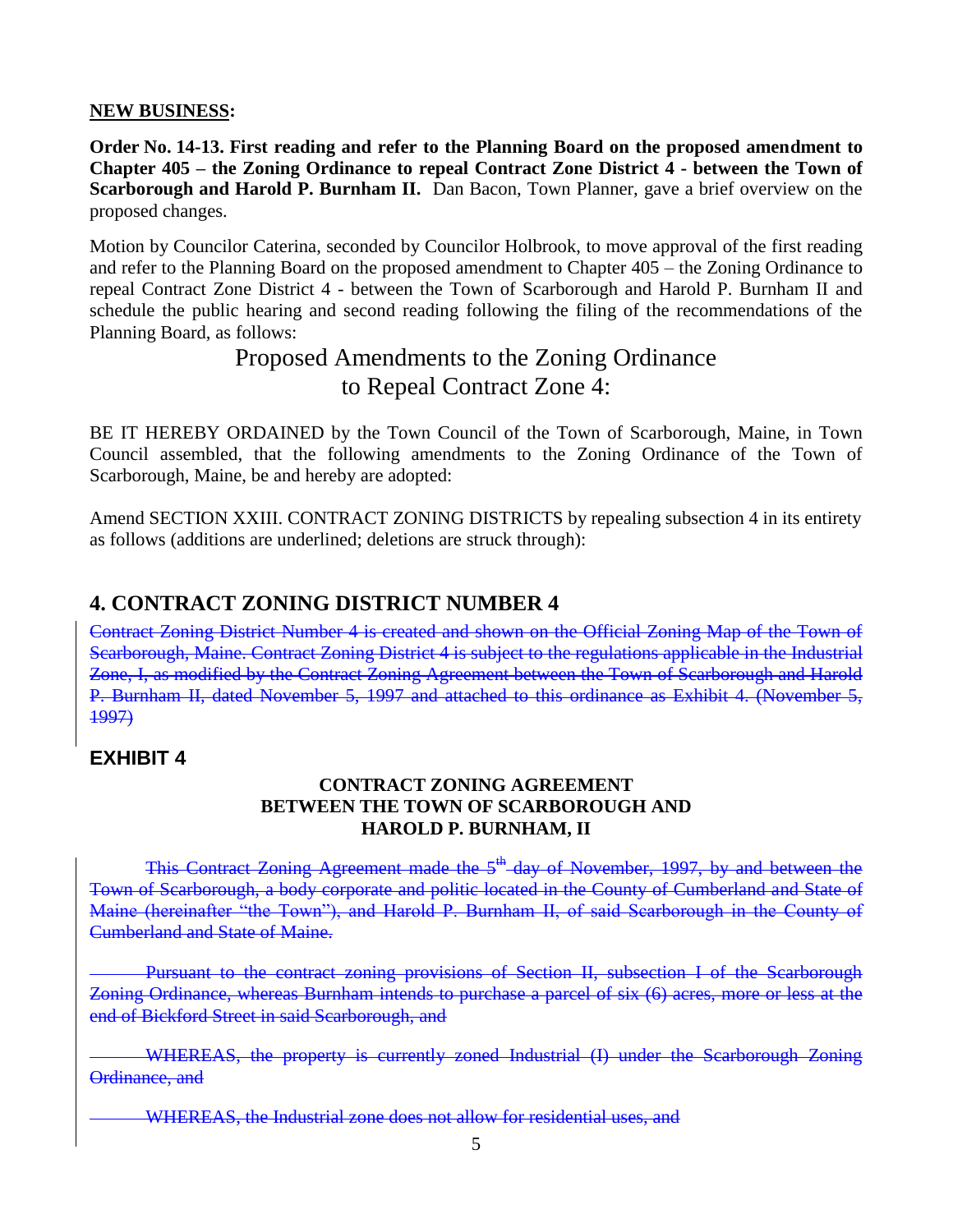### **NEW BUSINESS:**

**Order No. 14-13. First reading and refer to the Planning Board on the proposed amendment to Chapter 405 – the Zoning Ordinance to repeal Contract Zone District 4 - between the Town of Scarborough and Harold P. Burnham II.** Dan Bacon, Town Planner, gave a brief overview on the proposed changes.

Motion by Councilor Caterina, seconded by Councilor Holbrook, to move approval of the first reading and refer to the Planning Board on the proposed amendment to Chapter 405 – the Zoning Ordinance to repeal Contract Zone District 4 - between the Town of Scarborough and Harold P. Burnham II and schedule the public hearing and second reading following the filing of the recommendations of the Planning Board, as follows:

# Proposed Amendments to the Zoning Ordinance to Repeal Contract Zone 4:

BE IT HEREBY ORDAINED by the Town Council of the Town of Scarborough, Maine, in Town Council assembled, that the following amendments to the Zoning Ordinance of the Town of Scarborough, Maine, be and hereby are adopted:

Amend SECTION XXIII. CONTRACT ZONING DISTRICTS by repealing subsection 4 in its entirety as follows (additions are underlined; deletions are struck through):

# **4. CONTRACT ZONING DISTRICT NUMBER 4**

Contract Zoning District Number 4 is created and shown on the Official Zoning Map of the Town of Scarborough, Maine. Contract Zoning District 4 is subject to the regulations applicable in the Industrial Zone, I, as modified by the Contract Zoning Agreement between the Town of Scarborough and Harold P. Burnham II, dated November 5, 1997 and attached to this ordinance as Exhibit 4. (November 5, 1997)

# **EXHIBIT 4**

## **CONTRACT ZONING AGREEMENT BETWEEN THE TOWN OF SCARBOROUGH AND HAROLD P. BURNHAM, II**

This Contract Zoning Agreement made the 5<sup>th</sup>-day of November, 1997, by and between the Town of Scarborough, a body corporate and politic located in the County of Cumberland and State of Maine (hereinafter "the Town"), and Harold P. Burnham II, of said Scarborough in the County of Cumberland and State of Maine.

Pursuant to the contract zoning provisions of Section II, subsection I of the Scarborough Zoning Ordinance, whereas Burnham intends to purchase a parcel of six (6) acres, more or less at the end of Bickford Street in said Scarborough, and

WHEREAS, the property is currently zoned Industrial (I) under the Scarborough Zoning Ordinance, and

WHEREAS, the Industrial zone does not allow for residential uses, and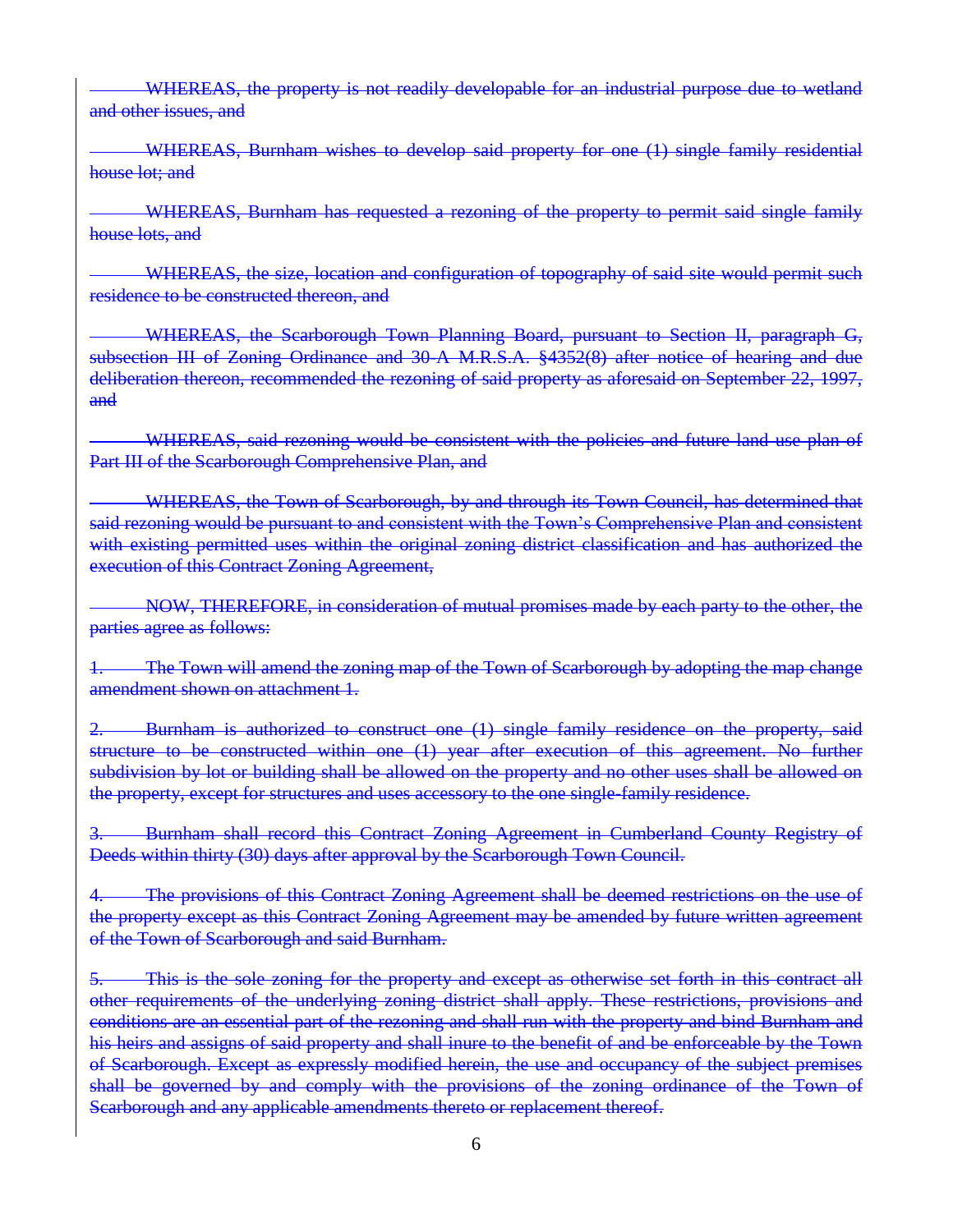WHEREAS, the property is not readily developable for an industrial purpose due to wetland and other issues, and

WHEREAS, Burnham wishes to develop said property for one (1) single family residential house lot; and

WHEREAS, Burnham has requested a rezoning of the property to permit said single family house lots, and

WHEREAS, the size, location and configuration of topography of said site would permit such residence to be constructed thereon, and

WHEREAS, the Scarborough Town Planning Board, pursuant to Section II, paragraph G, subsection III of Zoning Ordinance and 30-A M.R.S.A. §4352(8) after notice of hearing and due deliberation thereon, recommended the rezoning of said property as aforesaid on September 22, 1997, and

WHEREAS, said rezoning would be consistent with the policies and future land use plan of Part III of the Scarborough Comprehensive Plan, and

WHEREAS, the Town of Scarborough, by and through its Town Council, has determined that said rezoning would be pursuant to and consistent with the Town's Comprehensive Plan and consistent with existing permitted uses within the original zoning district classification and has authorized the execution of this Contract Zoning Agreement,

NOW, THEREFORE, in consideration of mutual promises made by each party to the other, the parties agree as follows:

The Town will amend the zoning map of the Town of Scarborough by adopting the map change amendment shown on attachment 1.

2. Burnham is authorized to construct one (1) single family residence on the property, said structure to be constructed within one (1) year after execution of this agreement. No further subdivision by lot or building shall be allowed on the property and no other uses shall be allowed on the property, except for structures and uses accessory to the one single-family residence.

3. Burnham shall record this Contract Zoning Agreement in Cumberland County Registry of Deeds within thirty (30) days after approval by the Scarborough Town Council.

4. The provisions of this Contract Zoning Agreement shall be deemed restrictions on the use of the property except as this Contract Zoning Agreement may be amended by future written agreement of the Town of Scarborough and said Burnham.

5. This is the sole zoning for the property and except as otherwise set forth in this contract all other requirements of the underlying zoning district shall apply. These restrictions, provisions and conditions are an essential part of the rezoning and shall run with the property and bind Burnham and his heirs and assigns of said property and shall inure to the benefit of and be enforceable by the Town of Scarborough. Except as expressly modified herein, the use and occupancy of the subject premises shall be governed by and comply with the provisions of the zoning ordinance of the Town of Scarborough and any applicable amendments thereto or replacement thereof.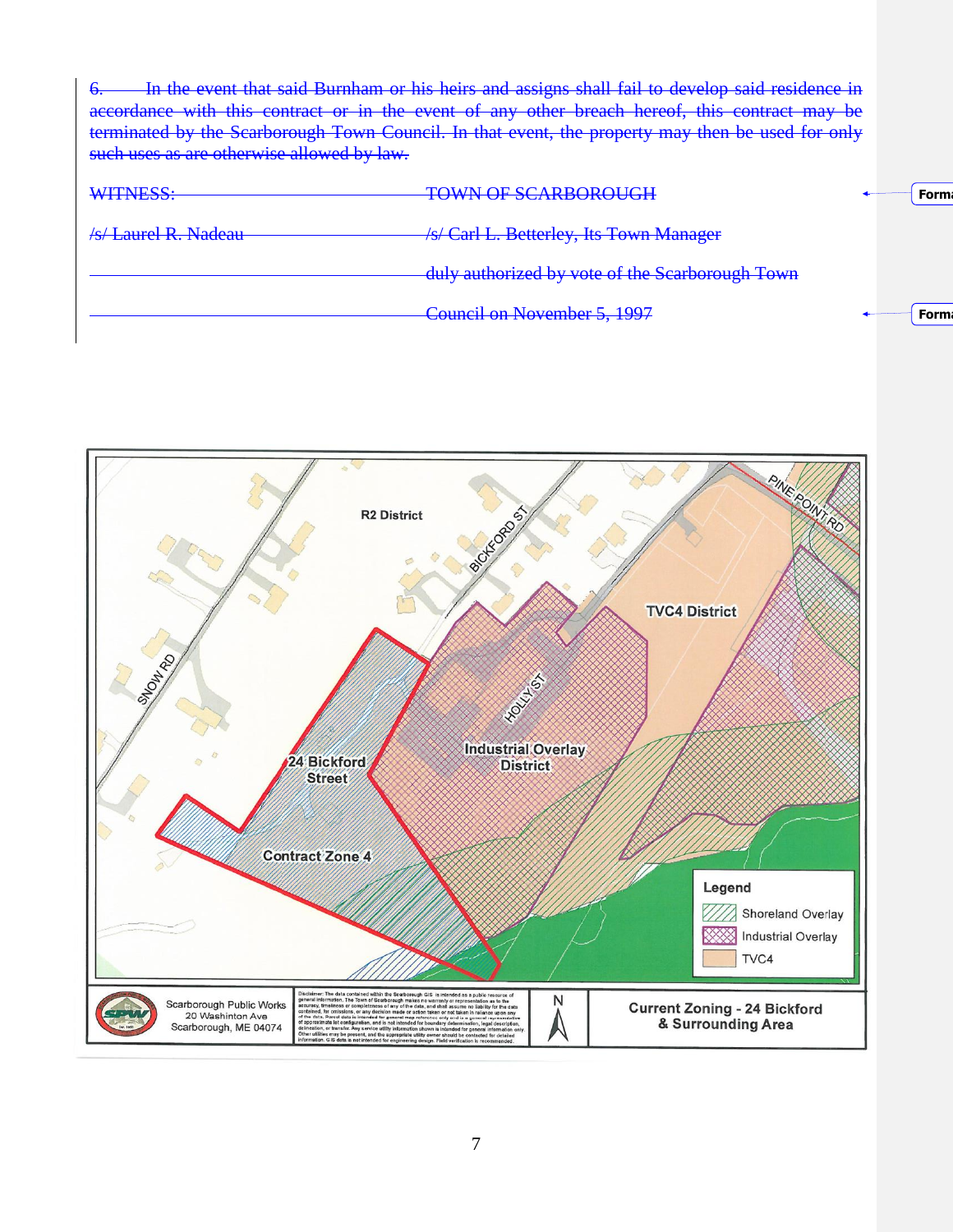| 6. In the event that said Burnham or his heirs and assigns shall fail to develop said residence in |  |
|----------------------------------------------------------------------------------------------------|--|
| accordance with this contract or in the event of any other breach hereof, this contract may be     |  |
| terminated by the Scarborough Town Council. In that event, the property may then be used for only  |  |
| such uses as are otherwise allowed by law.                                                         |  |

| /s/ Carl L. Betterley, Its Town Manager<br>/s/ Laurel R. Nadeau- |             |
|------------------------------------------------------------------|-------------|
| -duly authorized by vote of the Scarborough Town                 |             |
| Council on November 5, 1997                                      | <b>Form</b> |

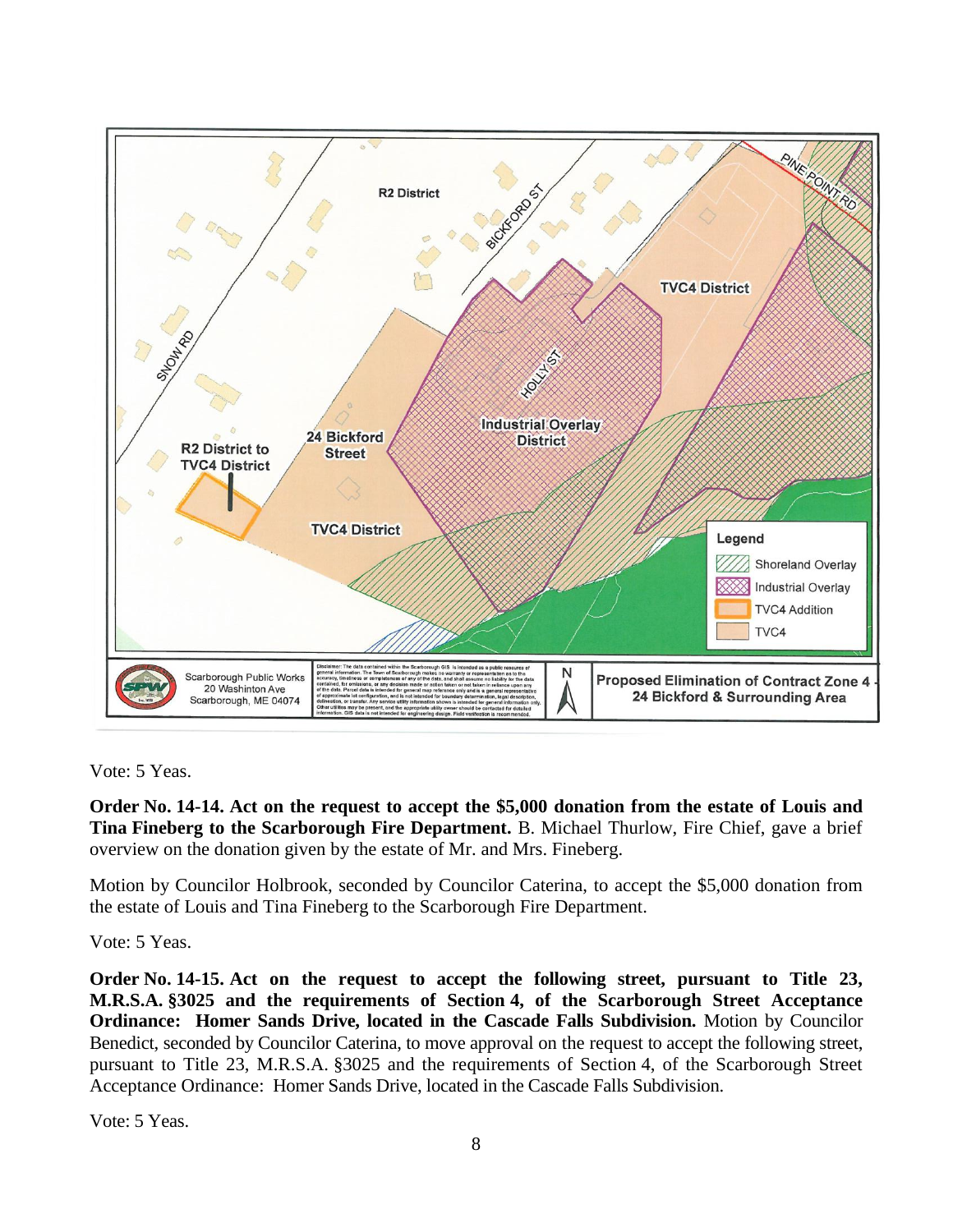

Vote: 5 Yeas.

**Order No. 14-14. Act on the request to accept the \$5,000 donation from the estate of Louis and Tina Fineberg to the Scarborough Fire Department.** B. Michael Thurlow, Fire Chief, gave a brief overview on the donation given by the estate of Mr. and Mrs. Fineberg.

Motion by Councilor Holbrook, seconded by Councilor Caterina, to accept the \$5,000 donation from the estate of Louis and Tina Fineberg to the Scarborough Fire Department.

Vote: 5 Yeas.

**Order No. 14-15. Act on the request to accept the following street, pursuant to Title 23, M.R.S.A. §3025 and the requirements of Section 4, of the Scarborough Street Acceptance Ordinance: Homer Sands Drive, located in the Cascade Falls Subdivision.** Motion by Councilor Benedict, seconded by Councilor Caterina, to move approval on the request to accept the following street, pursuant to Title 23, M.R.S.A. §3025 and the requirements of Section 4, of the Scarborough Street Acceptance Ordinance: Homer Sands Drive, located in the Cascade Falls Subdivision.

Vote: 5 Yeas.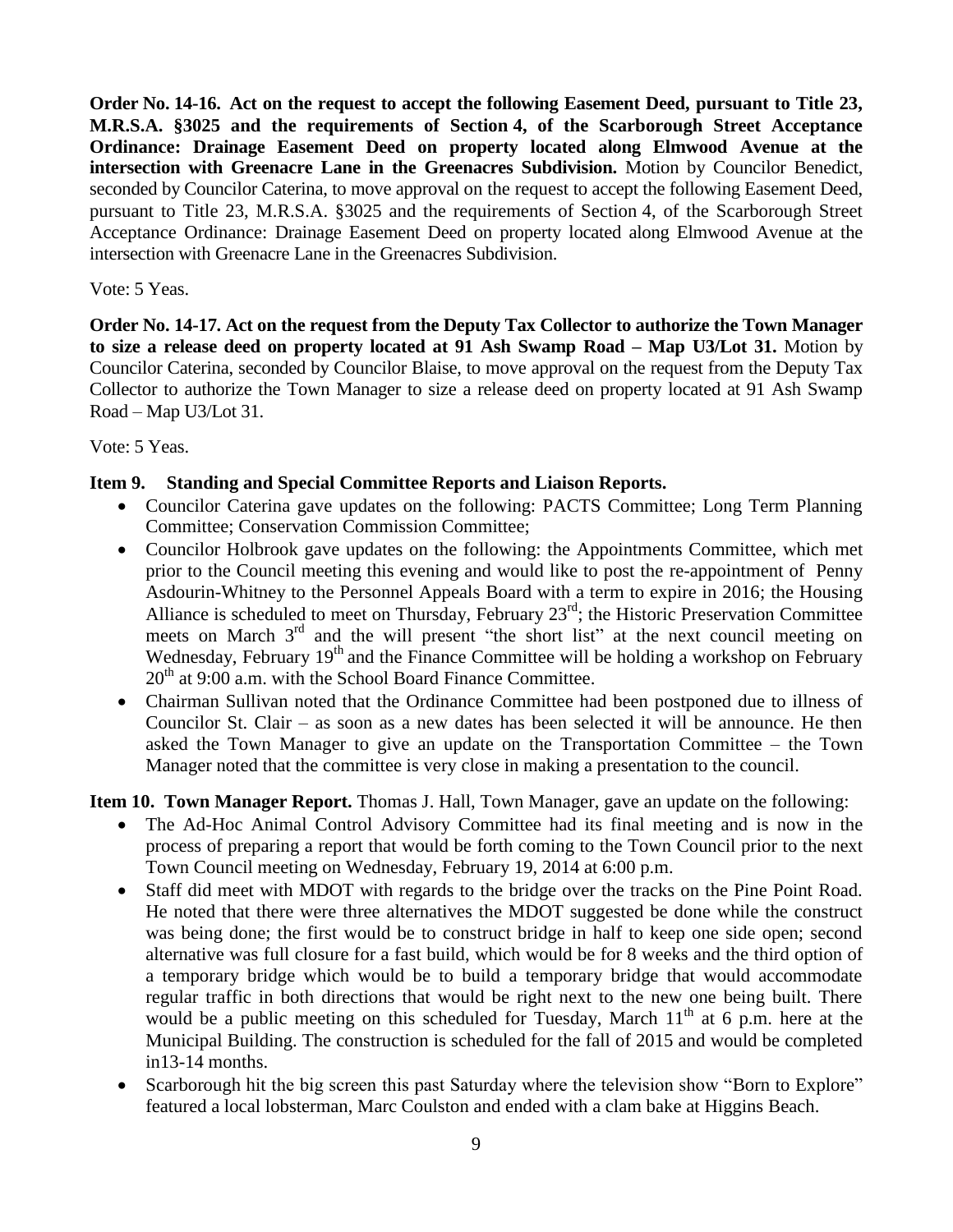**Order No. 14-16. Act on the request to accept the following Easement Deed, pursuant to Title 23, M.R.S.A. §3025 and the requirements of Section 4, of the Scarborough Street Acceptance Ordinance: Drainage Easement Deed on property located along Elmwood Avenue at the intersection with Greenacre Lane in the Greenacres Subdivision.** Motion by Councilor Benedict, seconded by Councilor Caterina, to move approval on the request to accept the following Easement Deed, pursuant to Title 23, M.R.S.A. §3025 and the requirements of Section 4, of the Scarborough Street Acceptance Ordinance: Drainage Easement Deed on property located along Elmwood Avenue at the intersection with Greenacre Lane in the Greenacres Subdivision.

### Vote: 5 Yeas.

**Order No. 14-17. Act on the request from the Deputy Tax Collector to authorize the Town Manager to size a release deed on property located at 91 Ash Swamp Road – Map U3/Lot 31.** Motion by Councilor Caterina, seconded by Councilor Blaise, to move approval on the request from the Deputy Tax Collector to authorize the Town Manager to size a release deed on property located at 91 Ash Swamp Road – Map U3/Lot 31.

Vote: 5 Yeas.

## **Item 9. Standing and Special Committee Reports and Liaison Reports.**

- Councilor Caterina gave updates on the following: PACTS Committee; Long Term Planning Committee; Conservation Commission Committee;
- Councilor Holbrook gave updates on the following: the Appointments Committee, which met prior to the Council meeting this evening and would like to post the re-appointment of Penny Asdourin-Whitney to the Personnel Appeals Board with a term to expire in 2016; the Housing Alliance is scheduled to meet on Thursday, February  $23<sup>rd</sup>$ ; the Historic Preservation Committee meets on March  $3<sup>rd</sup>$  and the will present "the short list" at the next council meeting on Wednesday, February  $19<sup>th</sup>$  and the Finance Committee will be holding a workshop on February  $20<sup>th</sup>$  at 9:00 a.m. with the School Board Finance Committee.
- Chairman Sullivan noted that the Ordinance Committee had been postponed due to illness of Councilor St. Clair – as soon as a new dates has been selected it will be announce. He then asked the Town Manager to give an update on the Transportation Committee – the Town Manager noted that the committee is very close in making a presentation to the council.

**Item 10. Town Manager Report.** Thomas J. Hall, Town Manager, gave an update on the following:

- The Ad-Hoc Animal Control Advisory Committee had its final meeting and is now in the process of preparing a report that would be forth coming to the Town Council prior to the next Town Council meeting on Wednesday, February 19, 2014 at 6:00 p.m.
- Staff did meet with MDOT with regards to the bridge over the tracks on the Pine Point Road. He noted that there were three alternatives the MDOT suggested be done while the construct was being done; the first would be to construct bridge in half to keep one side open; second alternative was full closure for a fast build, which would be for 8 weeks and the third option of a temporary bridge which would be to build a temporary bridge that would accommodate regular traffic in both directions that would be right next to the new one being built. There would be a public meeting on this scheduled for Tuesday, March  $11<sup>th</sup>$  at 6 p.m. here at the Municipal Building. The construction is scheduled for the fall of 2015 and would be completed in13-14 months.
- Scarborough hit the big screen this past Saturday where the television show "Born to Explore" featured a local lobsterman, Marc Coulston and ended with a clam bake at Higgins Beach.